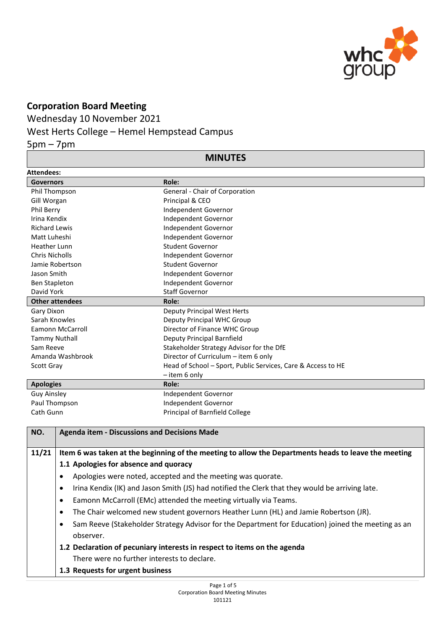

## **Corporation Board Meeting**

Wednesday 10 November 2021

## West Herts College – Hemel Hempstead Campus

5pm – 7pm

## **MINUTES**

| <b>Attendees:</b>      |                                                              |  |
|------------------------|--------------------------------------------------------------|--|
| <b>Governors</b>       | Role:                                                        |  |
| Phil Thompson          | General - Chair of Corporation                               |  |
| Gill Worgan            | Principal & CEO                                              |  |
| <b>Phil Berry</b>      | Independent Governor                                         |  |
| Irina Kendix           | Independent Governor                                         |  |
| <b>Richard Lewis</b>   | Independent Governor                                         |  |
| Matt Luheshi           | Independent Governor                                         |  |
| <b>Heather Lunn</b>    | Student Governor                                             |  |
| <b>Chris Nicholls</b>  | Independent Governor                                         |  |
| Jamie Robertson        | Student Governor                                             |  |
| Jason Smith            | Independent Governor                                         |  |
| Ben Stapleton          | Independent Governor                                         |  |
| David York             | <b>Staff Governor</b>                                        |  |
| <b>Other attendees</b> | Role:                                                        |  |
| Gary Dixon             | Deputy Principal West Herts                                  |  |
| Sarah Knowles          | Deputy Principal WHC Group                                   |  |
| Eamonn McCarroll       | Director of Finance WHC Group                                |  |
| <b>Tammy Nuthall</b>   | Deputy Principal Barnfield                                   |  |
| Sam Reeve              | Stakeholder Strategy Advisor for the DfE                     |  |
| Amanda Washbrook       | Director of Curriculum - item 6 only                         |  |
| Scott Gray             | Head of School - Sport, Public Services, Care & Access to HE |  |
|                        | $-$ item 6 only                                              |  |
| <b>Apologies</b>       | Role:                                                        |  |
| <b>Guy Ainsley</b>     | Independent Governor                                         |  |
| Paul Thompson          | Independent Governor                                         |  |
| Cath Gunn              | Principal of Barnfield College                               |  |

| NO.   | <b>Agenda item - Discussions and Decisions Made</b>                                                     |
|-------|---------------------------------------------------------------------------------------------------------|
| 11/21 | Item 6 was taken at the beginning of the meeting to allow the Departments heads to leave the meeting    |
|       | 1.1 Apologies for absence and quoracy                                                                   |
|       | Apologies were noted, accepted and the meeting was quorate.                                             |
|       | Irina Kendix (IK) and Jason Smith (JS) had notified the Clerk that they would be arriving late.         |
|       | Eamonn McCarroll (EMc) attended the meeting virtually via Teams.<br>٠                                   |
|       | The Chair welcomed new student governors Heather Lunn (HL) and Jamie Robertson (JR).                    |
|       | Sam Reeve (Stakeholder Strategy Advisor for the Department for Education) joined the meeting as an<br>٠ |
|       | observer.                                                                                               |
|       | 1.2 Declaration of pecuniary interests in respect to items on the agenda                                |
|       | There were no further interests to declare.                                                             |
|       | 1.3 Requests for urgent business                                                                        |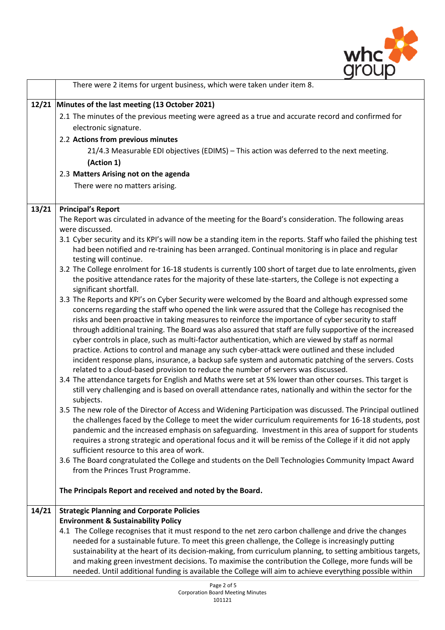

|       | There were 2 items for urgent business, which were taken under item 8.                                                                                                                                          |
|-------|-----------------------------------------------------------------------------------------------------------------------------------------------------------------------------------------------------------------|
|       | 12/21 Minutes of the last meeting (13 October 2021)                                                                                                                                                             |
|       | 2.1 The minutes of the previous meeting were agreed as a true and accurate record and confirmed for                                                                                                             |
|       | electronic signature.                                                                                                                                                                                           |
|       | 2.2 Actions from previous minutes                                                                                                                                                                               |
|       | 21/4.3 Measurable EDI objectives (EDIMS) - This action was deferred to the next meeting.                                                                                                                        |
|       | (Action 1)                                                                                                                                                                                                      |
|       | 2.3 Matters Arising not on the agenda                                                                                                                                                                           |
|       | There were no matters arising.                                                                                                                                                                                  |
|       |                                                                                                                                                                                                                 |
| 13/21 | <b>Principal's Report</b>                                                                                                                                                                                       |
|       | The Report was circulated in advance of the meeting for the Board's consideration. The following areas<br>were discussed.                                                                                       |
|       | 3.1 Cyber security and its KPI's will now be a standing item in the reports. Staff who failed the phishing test                                                                                                 |
|       | had been notified and re-training has been arranged. Continual monitoring is in place and regular                                                                                                               |
|       | testing will continue.                                                                                                                                                                                          |
|       | 3.2 The College enrolment for 16-18 students is currently 100 short of target due to late enrolments, given                                                                                                     |
|       | the positive attendance rates for the majority of these late-starters, the College is not expecting a                                                                                                           |
|       | significant shortfall.                                                                                                                                                                                          |
|       | 3.3 The Reports and KPI's on Cyber Security were welcomed by the Board and although expressed some                                                                                                              |
|       | concerns regarding the staff who opened the link were assured that the College has recognised the<br>risks and been proactive in taking measures to reinforce the importance of cyber security to staff         |
|       | through additional training. The Board was also assured that staff are fully supportive of the increased                                                                                                        |
|       | cyber controls in place, such as multi-factor authentication, which are viewed by staff as normal                                                                                                               |
|       | practice. Actions to control and manage any such cyber-attack were outlined and these included                                                                                                                  |
|       | incident response plans, insurance, a backup safe system and automatic patching of the servers. Costs                                                                                                           |
|       | related to a cloud-based provision to reduce the number of servers was discussed.                                                                                                                               |
|       | 3.4 The attendance targets for English and Maths were set at 5% lower than other courses. This target is                                                                                                        |
|       | still very challenging and is based on overall attendance rates, nationally and within the sector for the                                                                                                       |
|       | subjects.<br>3.5 The new role of the Director of Access and Widening Participation was discussed. The Principal outlined                                                                                        |
|       | the challenges faced by the College to meet the wider curriculum requirements for 16-18 students, post                                                                                                          |
|       | pandemic and the increased emphasis on safeguarding. Investment in this area of support for students                                                                                                            |
|       | requires a strong strategic and operational focus and it will be remiss of the College if it did not apply                                                                                                      |
|       | sufficient resource to this area of work.                                                                                                                                                                       |
|       | 3.6 The Board congratulated the College and students on the Dell Technologies Community Impact Award                                                                                                            |
|       | from the Princes Trust Programme.                                                                                                                                                                               |
|       | The Principals Report and received and noted by the Board.                                                                                                                                                      |
| 14/21 | <b>Strategic Planning and Corporate Policies</b>                                                                                                                                                                |
|       | <b>Environment &amp; Sustainability Policy</b>                                                                                                                                                                  |
|       | 4.1 The College recognises that it must respond to the net zero carbon challenge and drive the changes                                                                                                          |
|       | needed for a sustainable future. To meet this green challenge, the College is increasingly putting                                                                                                              |
|       | sustainability at the heart of its decision-making, from curriculum planning, to setting ambitious targets,                                                                                                     |
|       | and making green investment decisions. To maximise the contribution the College, more funds will be<br>needed. Until additional funding is available the College will aim to achieve everything possible within |
|       |                                                                                                                                                                                                                 |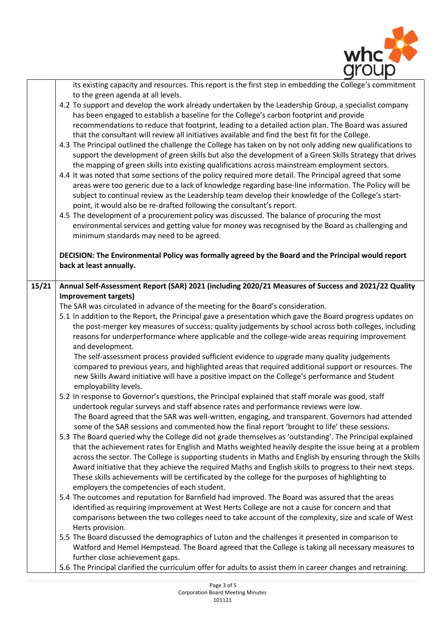

|       | its existing capacity and resources. This report is the first step in embedding the College's commitment     |
|-------|--------------------------------------------------------------------------------------------------------------|
|       | to the green agenda at all levels.                                                                           |
|       | 4.2 To support and develop the work already undertaken by the Leadership Group, a specialist company         |
|       | has been engaged to establish a baseline for the College's carbon footprint and provide                      |
|       | recommendations to reduce that footprint, leading to a detailed action plan. The Board was assured           |
|       | that the consultant will review all initiatives available and find the best fit for the College.             |
|       | 4.3 The Principal outlined the challenge the College has taken on by not only adding new qualifications to   |
|       | support the development of green skills but also the development of a Green Skills Strategy that drives      |
|       | the mapping of green skills into existing qualifications across mainstream employment sectors.               |
|       | 4.4 It was noted that some sections of the policy required more detail. The Principal agreed that some       |
|       | areas were too generic due to a lack of knowledge regarding base-line information. The Policy will be        |
|       | subject to continual review as the Leadership team develop their knowledge of the College's start-           |
|       | point, it would also be re-drafted following the consultant's report.                                        |
|       | 4.5 The development of a procurement policy was discussed. The balance of procuring the most                 |
|       | environmental services and getting value for money was recognised by the Board as challenging and            |
|       | minimum standards may need to be agreed.                                                                     |
|       | DECISION: The Environmental Policy was formally agreed by the Board and the Principal would report           |
|       | back at least annually.                                                                                      |
|       |                                                                                                              |
| 15/21 | Annual Self-Assessment Report (SAR) 2021 (including 2020/21 Measures of Success and 2021/22 Quality          |
|       | <b>Improvement targets)</b>                                                                                  |
|       | The SAR was circulated in advance of the meeting for the Board's consideration.                              |
|       | 5.1 In addition to the Report, the Principal gave a presentation which gave the Board progress updates on    |
|       | the post-merger key measures of success; quality judgements by school across both colleges, including        |
|       | reasons for underperformance where applicable and the college-wide areas requiring improvement               |
|       | and development.                                                                                             |
|       | The self-assessment process provided sufficient evidence to upgrade many quality judgements                  |
|       | compared to previous years, and highlighted areas that required additional support or resources. The         |
|       | new Skills Award initiative will have a positive impact on the College's performance and Student             |
|       | employability levels.                                                                                        |
|       | 5.2 In response to Governor's questions, the Principal explained that staff morale was good, staff           |
|       | undertook regular surveys and staff absence rates and performance reviews were low.                          |
|       | The Board agreed that the SAR was well-written, engaging, and transparent. Governors had attended            |
|       | some of the SAR sessions and commented how the final report 'brought to life' these sessions.                |
|       | 5.3 The Board queried why the College did not grade themselves as 'outstanding'. The Principal explained     |
|       | that the achievement rates for English and Maths weighted heavily despite the issue being at a problem       |
|       | across the sector. The College is supporting students in Maths and English by ensuring through the Skills    |
|       | Award initiative that they achieve the required Maths and English skills to progress to their next steps.    |
|       | These skills achievements will be certificated by the college for the purposes of highlighting to            |
|       | employers the competencies of each student.                                                                  |
|       | 5.4 The outcomes and reputation for Barnfield had improved. The Board was assured that the areas             |
|       | identified as requiring improvement at West Herts College are not a cause for concern and that               |
|       | comparisons between the two colleges need to take account of the complexity, size and scale of West          |
|       | Herts provision.                                                                                             |
|       | 5.5 The Board discussed the demographics of Luton and the challenges it presented in comparison to           |
|       | Watford and Hemel Hempstead. The Board agreed that the College is taking all necessary measures to           |
|       | further close achievement gaps.                                                                              |
|       | 5.6 The Principal clarified the curriculum offer for adults to assist them in career changes and retraining. |
|       |                                                                                                              |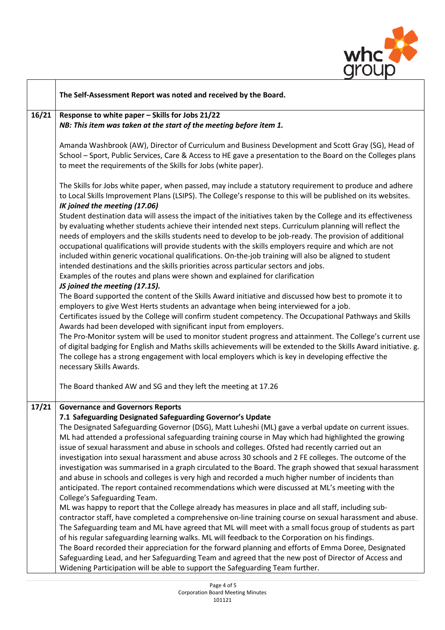

| The Self-Assessment Report was noted and received by the Board.                                                                                                                                                                                                                                                                                                                                                                                                                                                                                                                                                                                                                                                                                                                                                                                                                                                                                                                                                                                                                                                                                                                                                                                                                                                                                                                                                                                                                                                                                                                                                             |
|-----------------------------------------------------------------------------------------------------------------------------------------------------------------------------------------------------------------------------------------------------------------------------------------------------------------------------------------------------------------------------------------------------------------------------------------------------------------------------------------------------------------------------------------------------------------------------------------------------------------------------------------------------------------------------------------------------------------------------------------------------------------------------------------------------------------------------------------------------------------------------------------------------------------------------------------------------------------------------------------------------------------------------------------------------------------------------------------------------------------------------------------------------------------------------------------------------------------------------------------------------------------------------------------------------------------------------------------------------------------------------------------------------------------------------------------------------------------------------------------------------------------------------------------------------------------------------------------------------------------------------|
| Response to white paper - Skills for Jobs 21/22<br>NB: This item was taken at the start of the meeting before item 1.                                                                                                                                                                                                                                                                                                                                                                                                                                                                                                                                                                                                                                                                                                                                                                                                                                                                                                                                                                                                                                                                                                                                                                                                                                                                                                                                                                                                                                                                                                       |
| Amanda Washbrook (AW), Director of Curriculum and Business Development and Scott Gray (SG), Head of<br>School - Sport, Public Services, Care & Access to HE gave a presentation to the Board on the Colleges plans<br>to meet the requirements of the Skills for Jobs (white paper).                                                                                                                                                                                                                                                                                                                                                                                                                                                                                                                                                                                                                                                                                                                                                                                                                                                                                                                                                                                                                                                                                                                                                                                                                                                                                                                                        |
| The Skills for Jobs white paper, when passed, may include a statutory requirement to produce and adhere<br>to Local Skills Improvement Plans (LSIPS). The College's response to this will be published on its websites.<br>IK joined the meeting (17.06)                                                                                                                                                                                                                                                                                                                                                                                                                                                                                                                                                                                                                                                                                                                                                                                                                                                                                                                                                                                                                                                                                                                                                                                                                                                                                                                                                                    |
| Student destination data will assess the impact of the initiatives taken by the College and its effectiveness<br>by evaluating whether students achieve their intended next steps. Curriculum planning will reflect the<br>needs of employers and the skills students need to develop to be job-ready. The provision of additional<br>occupational qualifications will provide students with the skills employers require and which are not<br>included within generic vocational qualifications. On-the-job training will also be aligned to student<br>intended destinations and the skills priorities across particular sectors and jobs.<br>Examples of the routes and plans were shown and explained for clarification<br>JS joined the meeting (17.15).                                                                                                                                                                                                                                                                                                                                                                                                                                                                                                                                                                                                                                                                                                                                                                                                                                                               |
| The Board supported the content of the Skills Award initiative and discussed how best to promote it to<br>employers to give West Herts students an advantage when being interviewed for a job.<br>Certificates issued by the College will confirm student competency. The Occupational Pathways and Skills<br>Awards had been developed with significant input from employers.<br>The Pro-Monitor system will be used to monitor student progress and attainment. The College's current use<br>of digital badging for English and Maths skills achievements will be extended to the Skills Award initiative. g.<br>The college has a strong engagement with local employers which is key in developing effective the<br>necessary Skills Awards.                                                                                                                                                                                                                                                                                                                                                                                                                                                                                                                                                                                                                                                                                                                                                                                                                                                                            |
| The Board thanked AW and SG and they left the meeting at 17.26                                                                                                                                                                                                                                                                                                                                                                                                                                                                                                                                                                                                                                                                                                                                                                                                                                                                                                                                                                                                                                                                                                                                                                                                                                                                                                                                                                                                                                                                                                                                                              |
| <b>Governance and Governors Reports</b><br>7.1 Safeguarding Designated Safeguarding Governor's Update<br>The Designated Safeguarding Governor (DSG), Matt Luheshi (ML) gave a verbal update on current issues.<br>ML had attended a professional safeguarding training course in May which had highlighted the growing<br>issue of sexual harassment and abuse in schools and colleges. Ofsted had recently carried out an<br>investigation into sexual harassment and abuse across 30 schools and 2 FE colleges. The outcome of the<br>investigation was summarised in a graph circulated to the Board. The graph showed that sexual harassment<br>and abuse in schools and colleges is very high and recorded a much higher number of incidents than<br>anticipated. The report contained recommendations which were discussed at ML's meeting with the<br>College's Safeguarding Team.<br>ML was happy to report that the College already has measures in place and all staff, including sub-<br>contractor staff, have completed a comprehensive on-line training course on sexual harassment and abuse.<br>The Safeguarding team and ML have agreed that ML will meet with a small focus group of students as part<br>of his regular safeguarding learning walks. ML will feedback to the Corporation on his findings.<br>The Board recorded their appreciation for the forward planning and efforts of Emma Doree, Designated<br>Safeguarding Lead, and her Safeguarding Team and agreed that the new post of Director of Access and<br>Widening Participation will be able to support the Safeguarding Team further. |
|                                                                                                                                                                                                                                                                                                                                                                                                                                                                                                                                                                                                                                                                                                                                                                                                                                                                                                                                                                                                                                                                                                                                                                                                                                                                                                                                                                                                                                                                                                                                                                                                                             |

 $\overline{1}$